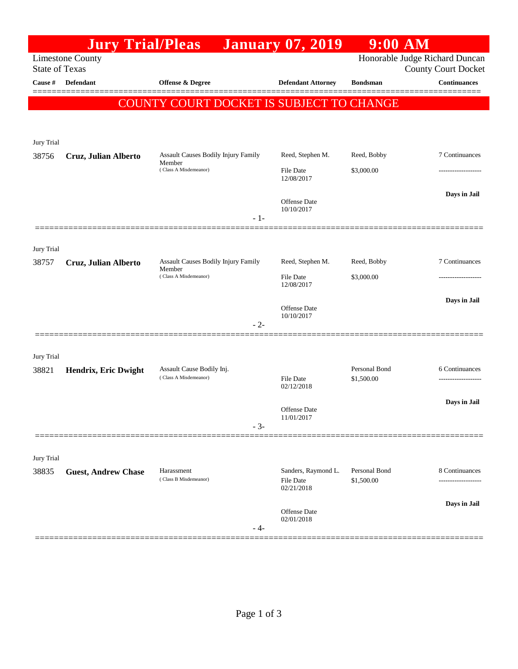|                       | <b>Jury Trial/Pleas</b>    |                                                                               | <b>January 07, 2019</b>                               | $9:00$ AM                   |                                                              |
|-----------------------|----------------------------|-------------------------------------------------------------------------------|-------------------------------------------------------|-----------------------------|--------------------------------------------------------------|
| <b>State of Texas</b> | <b>Limestone County</b>    |                                                                               |                                                       |                             | Honorable Judge Richard Duncan<br><b>County Court Docket</b> |
| Cause #               | <b>Defendant</b>           | Offense & Degree                                                              | <b>Defendant Attorney</b>                             | <b>Bondsman</b>             | <b>Continuances</b>                                          |
|                       |                            | COUNTY COURT DOCKET IS SUBJECT TO CHANGE                                      |                                                       |                             |                                                              |
|                       |                            |                                                                               |                                                       |                             |                                                              |
| Jury Trial            |                            |                                                                               |                                                       |                             |                                                              |
| 38756                 | Cruz, Julian Alberto       | Assault Causes Bodily Injury Family<br>Member<br>(Class A Misdemeanor)        | Reed, Stephen M.<br>File Date                         | Reed, Bobby<br>\$3,000.00   | 7 Continuances<br>--------------                             |
|                       |                            |                                                                               | 12/08/2017                                            |                             |                                                              |
|                       |                            |                                                                               | <b>Offense Date</b>                                   |                             | Days in Jail                                                 |
|                       |                            | $-1-$                                                                         | 10/10/2017                                            |                             |                                                              |
|                       |                            |                                                                               |                                                       |                             |                                                              |
| Jury Trial            |                            |                                                                               |                                                       |                             |                                                              |
| 38757                 | Cruz, Julian Alberto       | <b>Assault Causes Bodily Injury Family</b><br>Member<br>(Class A Misdemeanor) | Reed, Stephen M.                                      | Reed, Bobby                 | 7 Continuances                                               |
|                       |                            |                                                                               | File Date<br>12/08/2017                               | \$3,000.00                  |                                                              |
|                       |                            |                                                                               |                                                       |                             | Days in Jail                                                 |
|                       |                            |                                                                               | <b>Offense Date</b><br>10/10/2017                     |                             |                                                              |
|                       |                            | $-2-$                                                                         |                                                       |                             |                                                              |
| Jury Trial            |                            |                                                                               |                                                       |                             |                                                              |
| 38821                 | Hendrix, Eric Dwight       | Assault Cause Bodily Inj.<br>(Class A Misdemeanor)                            |                                                       | Personal Bond<br>\$1,500.00 | 6 Continuances                                               |
|                       |                            |                                                                               | <b>File Date</b><br>02/12/2018                        |                             |                                                              |
|                       |                            |                                                                               |                                                       |                             | Days in Jail                                                 |
|                       |                            |                                                                               | <b>Offense</b> Date<br>11/01/2017                     |                             |                                                              |
|                       |                            | $-3-$                                                                         |                                                       |                             |                                                              |
| Jury Trial            |                            |                                                                               |                                                       |                             |                                                              |
| 38835                 | <b>Guest, Andrew Chase</b> | Harassment                                                                    | Sanders, Raymond L.<br><b>File Date</b><br>02/21/2018 | Personal Bond               | 8 Continuances                                               |
|                       |                            | (Class B Misdemeanor)                                                         |                                                       | \$1,500.00                  |                                                              |
|                       |                            |                                                                               |                                                       |                             | Days in Jail                                                 |
|                       |                            |                                                                               | <b>Offense Date</b><br>02/01/2018                     |                             |                                                              |
|                       |                            | - 4-                                                                          |                                                       |                             |                                                              |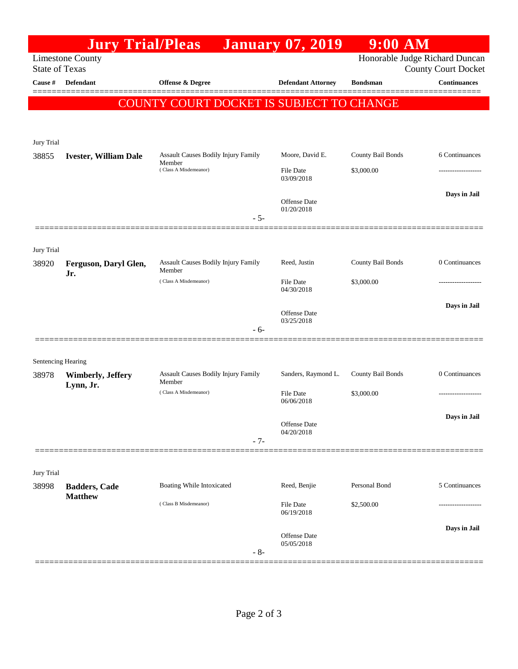|                       | <b>Jury Trial/Pleas</b>                |                                                                               | <b>January 07, 2019</b>        | $9:00$ AM         |                                                              |
|-----------------------|----------------------------------------|-------------------------------------------------------------------------------|--------------------------------|-------------------|--------------------------------------------------------------|
| <b>State of Texas</b> | <b>Limestone County</b>                |                                                                               |                                |                   | Honorable Judge Richard Duncan<br><b>County Court Docket</b> |
| Cause #               | <b>Defendant</b>                       | <b>Offense &amp; Degree</b>                                                   | <b>Defendant Attorney</b>      | <b>Bondsman</b>   | <b>Continuances</b>                                          |
|                       |                                        | COUNTY COURT DOCKET IS SUBJECT TO CHANGE                                      |                                |                   |                                                              |
|                       |                                        |                                                                               |                                |                   |                                                              |
| Jury Trial            |                                        |                                                                               |                                |                   |                                                              |
| 38855                 | <b>Ivester, William Dale</b>           | <b>Assault Causes Bodily Injury Family</b><br>Member<br>(Class A Misdemeanor) | Moore, David E.                | County Bail Bonds | 6 Continuances                                               |
|                       |                                        |                                                                               | File Date<br>03/09/2018        | \$3,000.00        |                                                              |
|                       |                                        |                                                                               | Offense Date<br>01/20/2018     |                   | Days in Jail                                                 |
|                       |                                        | $-5-$                                                                         |                                |                   |                                                              |
| Jury Trial            |                                        |                                                                               |                                |                   |                                                              |
| 38920                 | Ferguson, Daryl Glen,<br>Jr.           | <b>Assault Causes Bodily Injury Family</b><br>Member                          | Reed, Justin                   | County Bail Bonds | 0 Continuances                                               |
|                       |                                        | (Class A Misdemeanor)                                                         | <b>File Date</b><br>04/30/2018 | \$3,000.00        |                                                              |
|                       |                                        |                                                                               | Offense Date                   |                   | Days in Jail                                                 |
|                       |                                        | - 6-                                                                          | 03/25/2018                     |                   |                                                              |
|                       |                                        |                                                                               |                                |                   |                                                              |
| Sentencing Hearing    |                                        |                                                                               |                                |                   |                                                              |
| 38978                 | <b>Wimberly, Jeffery</b><br>Lynn, Jr.  | <b>Assault Causes Bodily Injury Family</b><br>Member                          | Sanders, Raymond L.            | County Bail Bonds | 0 Continuances                                               |
|                       |                                        | (Class A Misdemeanor)                                                         | <b>File Date</b><br>06/06/2018 | \$3,000.00        | -----------------                                            |
|                       |                                        |                                                                               | Offense Date                   |                   | Days in Jail                                                 |
|                       |                                        | $-7-$                                                                         | 04/20/2018                     |                   |                                                              |
|                       |                                        |                                                                               |                                |                   |                                                              |
| Jury Trial            |                                        |                                                                               |                                |                   |                                                              |
| 38998                 | <b>Badders, Cade</b><br><b>Matthew</b> | Boating While Intoxicated                                                     | Reed, Benjie                   | Personal Bond     | 5 Continuances                                               |
|                       |                                        | (Class B Misdemeanor)                                                         | File Date<br>06/19/2018        | \$2,500.00        |                                                              |
|                       |                                        | $-8-$                                                                         | Offense Date<br>05/05/2018     |                   | Days in Jail                                                 |